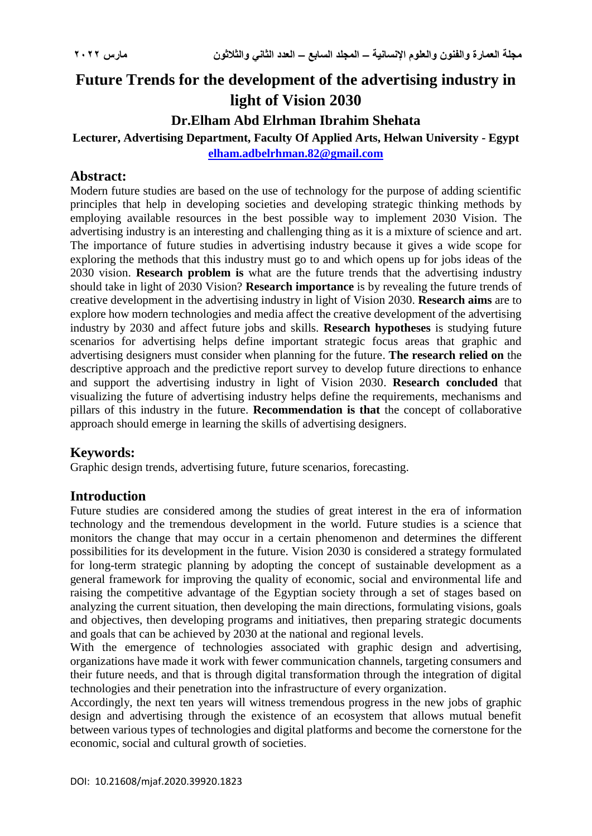# **Future Trends for the development of the advertising industry in light of Vision 2030**

## **Dr.Elham Abd Elrhman Ibrahim Shehata**

#### **Lecturer, Advertising Department, Faculty Of Applied Arts, Helwan University - Egypt [elham.adbelrhman.82@gmail.com](mailto:elham.adbelrhman.82@gmail.com)**

## **Abstract:**

Modern future studies are based on the use of technology for the purpose of adding scientific principles that help in developing societies and developing strategic thinking methods by employing available resources in the best possible way to implement 2030 Vision. The advertising industry is an interesting and challenging thing as it is a mixture of science and art. The importance of future studies in advertising industry because it gives a wide scope for exploring the methods that this industry must go to and which opens up for jobs ideas of the 2030 vision. **Research problem is** what are the future trends that the advertising industry should take in light of 2030 Vision? **Research importance** is by revealing the future trends of creative development in the advertising industry in light of Vision 2030. **Research aims** are to explore how modern technologies and media affect the creative development of the advertising industry by 2030 and affect future jobs and skills. **Research hypotheses** is studying future scenarios for advertising helps define important strategic focus areas that graphic and advertising designers must consider when planning for the future. **The research relied on** the descriptive approach and the predictive report survey to develop future directions to enhance and support the advertising industry in light of Vision 2030. **Research concluded** that visualizing the future of advertising industry helps define the requirements, mechanisms and pillars of this industry in the future. **Recommendation is that** the concept of collaborative approach should emerge in learning the skills of advertising designers.

## **Keywords:**

Graphic design trends, advertising future, future scenarios, forecasting.

## **Introduction**

Future studies are considered among the studies of great interest in the era of information technology and the tremendous development in the world. Future studies is a science that monitors the change that may occur in a certain phenomenon and determines the different possibilities for its development in the future. Vision 2030 is considered a strategy formulated for long-term strategic planning by adopting the concept of sustainable development as a general framework for improving the quality of economic, social and environmental life and raising the competitive advantage of the Egyptian society through a set of stages based on analyzing the current situation, then developing the main directions, formulating visions, goals and objectives, then developing programs and initiatives, then preparing strategic documents and goals that can be achieved by 2030 at the national and regional levels.

With the emergence of technologies associated with graphic design and advertising, organizations have made it work with fewer communication channels, targeting consumers and their future needs, and that is through digital transformation through the integration of digital technologies and their penetration into the infrastructure of every organization.

Accordingly, the next ten years will witness tremendous progress in the new jobs of graphic design and advertising through the existence of an ecosystem that allows mutual benefit between various types of technologies and digital platforms and become the cornerstone for the economic, social and cultural growth of societies.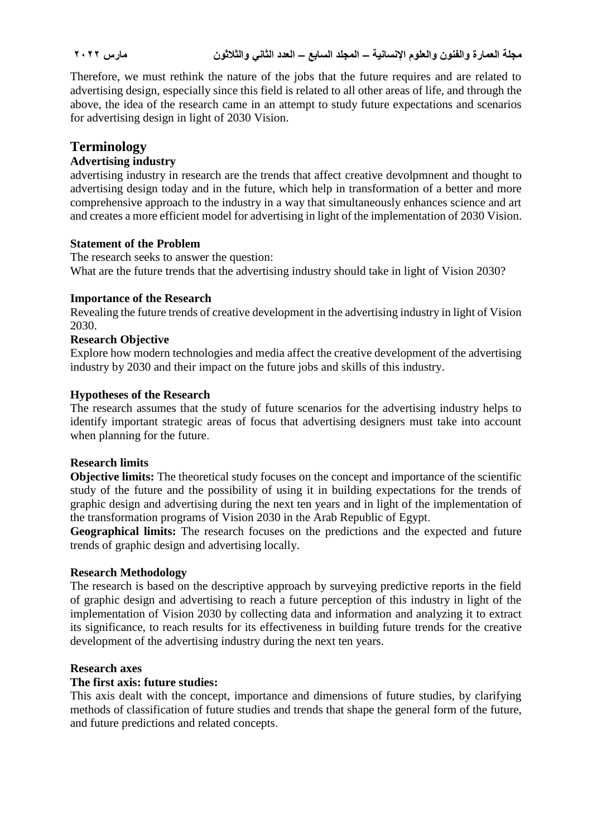Therefore, we must rethink the nature of the jobs that the future requires and are related to advertising design, especially since this field is related to all other areas of life, and through the above, the idea of the research came in an attempt to study future expectations and scenarios for advertising design in light of 2030 Vision.

## **Terminology**

### **Advertising industry**

advertising industry in research are the trends that affect creative devolpmnent and thought to advertising design today and in the future, which help in transformation of a better and more comprehensive approach to the industry in a way that simultaneously enhances science and art and creates a more efficient model for advertising in light of the implementation of 2030 Vision.

#### **Statement of the Problem**

The research seeks to answer the question: What are the future trends that the advertising industry should take in light of Vision 2030?

#### **Importance of the Research**

Revealing the future trends of creative development in the advertising industry in light of Vision 2030.

#### **Research Objective**

Explore how modern technologies and media affect the creative development of the advertising industry by 2030 and their impact on the future jobs and skills of this industry.

#### **Hypotheses of the Research**

The research assumes that the study of future scenarios for the advertising industry helps to identify important strategic areas of focus that advertising designers must take into account when planning for the future.

#### **Research limits**

**Objective limits:** The theoretical study focuses on the concept and importance of the scientific study of the future and the possibility of using it in building expectations for the trends of graphic design and advertising during the next ten years and in light of the implementation of the transformation programs of Vision 2030 in the Arab Republic of Egypt.

**Geographical limits:** The research focuses on the predictions and the expected and future trends of graphic design and advertising locally.

#### **Research Methodology**

The research is based on the descriptive approach by surveying predictive reports in the field of graphic design and advertising to reach a future perception of this industry in light of the implementation of Vision 2030 by collecting data and information and analyzing it to extract its significance, to reach results for its effectiveness in building future trends for the creative development of the advertising industry during the next ten years.

#### **Research axes**

#### **The first axis: future studies:**

This axis dealt with the concept, importance and dimensions of future studies, by clarifying methods of classification of future studies and trends that shape the general form of the future, and future predictions and related concepts.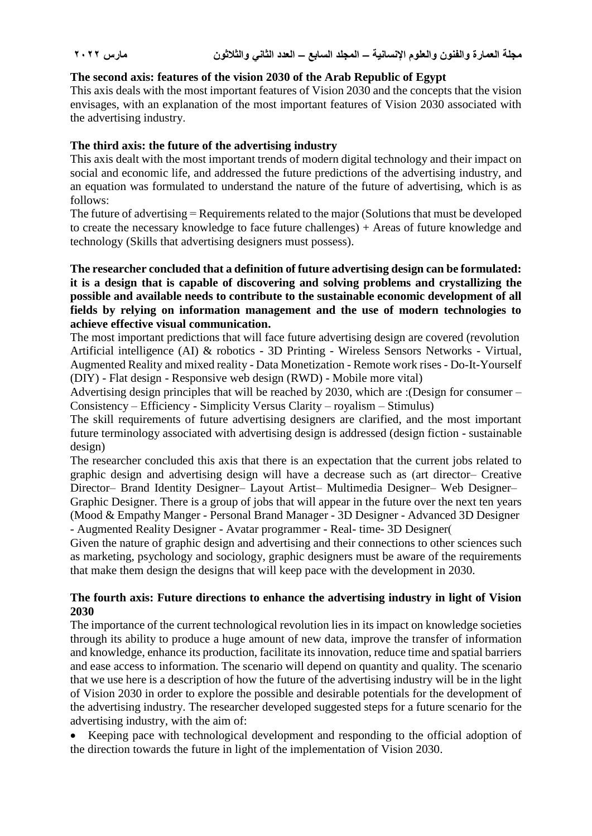#### **The second axis: features of the vision 2030 of the Arab Republic of Egypt**

This axis deals with the most important features of Vision 2030 and the concepts that the vision envisages, with an explanation of the most important features of Vision 2030 associated with the advertising industry.

#### **The third axis: the future of the advertising industry**

This axis dealt with the most important trends of modern digital technology and their impact on social and economic life, and addressed the future predictions of the advertising industry, and an equation was formulated to understand the nature of the future of advertising, which is as follows:

The future of advertising = Requirements related to the major (Solutions that must be developed to create the necessary knowledge to face future challenges) + Areas of future knowledge and technology (Skills that advertising designers must possess).

#### **The researcher concluded that a definition of future advertising design can be formulated: it is a design that is capable of discovering and solving problems and crystallizing the possible and available needs to contribute to the sustainable economic development of all fields by relying on information management and the use of modern technologies to achieve effective visual communication.**

The most important predictions that will face future advertising design are covered (revolution Artificial intelligence (AI) & robotics - 3D Printing - Wireless Sensors Networks - Virtual, Augmented Reality and mixed reality - Data Monetization - Remote work rises - Do-It-Yourself (DIY) - Flat design - Responsive web design (RWD) - Mobile more vital)

Advertising design principles that will be reached by 2030, which are :(Design for consumer – Consistency – Efficiency - Simplicity Versus Clarity – royalism – Stimulus)

The skill requirements of future advertising designers are clarified, and the most important future terminology associated with advertising design is addressed (design fiction - sustainable design)

The researcher concluded this axis that there is an expectation that the current jobs related to graphic design and advertising design will have a decrease such as (art director– Creative Director– Brand Identity Designer– Layout Artist– Multimedia Designer– Web Designer– Graphic Designer. There is a group of jobs that will appear in the future over the next ten years

(Mood & Empathy Manger - Personal Brand Manager - 3D Designer - Advanced 3D Designer - Augmented Reality Designer - Avatar programmer - Real- time- 3D Designer

Given the nature of graphic design and advertising and their connections to other sciences such as marketing, psychology and sociology, graphic designers must be aware of the requirements that make them design the designs that will keep pace with the development in 2030.

#### **The fourth axis: Future directions to enhance the advertising industry in light of Vision 2030**

The importance of the current technological revolution lies in its impact on knowledge societies through its ability to produce a huge amount of new data, improve the transfer of information and knowledge, enhance its production, facilitate its innovation, reduce time and spatial barriers and ease access to information. The scenario will depend on quantity and quality. The scenario that we use here is a description of how the future of the advertising industry will be in the light of Vision 2030 in order to explore the possible and desirable potentials for the development of the advertising industry. The researcher developed suggested steps for a future scenario for the advertising industry, with the aim of:

 Keeping pace with technological development and responding to the official adoption of the direction towards the future in light of the implementation of Vision 2030.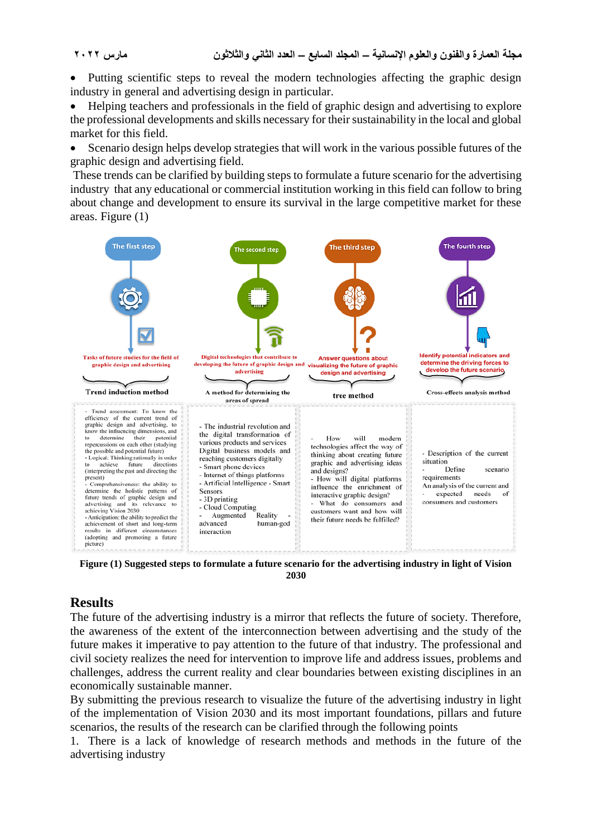Putting scientific steps to reveal the modern technologies affecting the graphic design industry in general and advertising design in particular.

 Helping teachers and professionals in the field of graphic design and advertising to explore the professional developments and skills necessary for their sustainability in the local and global market for this field.

 Scenario design helps develop strategies that will work in the various possible futures of the graphic design and advertising field.

These trends can be clarified by building steps to formulate a future scenario for the advertising industry that any educational or commercial institution working in this field can follow to bring about change and development to ensure its survival in the large competitive market for these areas. Figure (1)



**Figure (1) Suggested steps to formulate a future scenario for the advertising industry in light of Vision 2030**

## **Results**

The future of the advertising industry is a mirror that reflects the future of society. Therefore, the awareness of the extent of the interconnection between advertising and the study of the future makes it imperative to pay attention to the future of that industry. The professional and civil society realizes the need for intervention to improve life and address issues, problems and challenges, address the current reality and clear boundaries between existing disciplines in an economically sustainable manner.

By submitting the previous research to visualize the future of the advertising industry in light of the implementation of Vision 2030 and its most important foundations, pillars and future scenarios, the results of the research can be clarified through the following points

1. There is a lack of knowledge of research methods and methods in the future of the advertising industry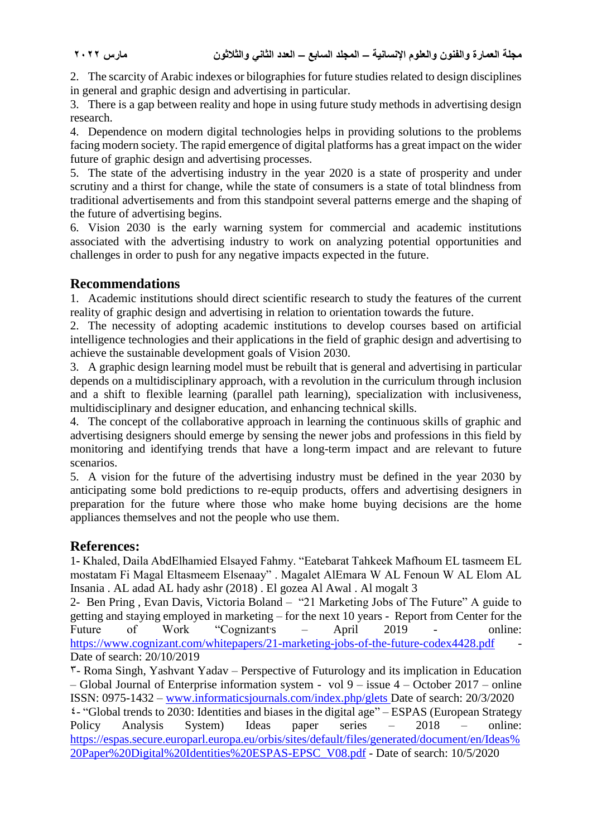2. The scarcity of Arabic indexes or bilographies for future studies related to design disciplines in general and graphic design and advertising in particular.

3. There is a gap between reality and hope in using future study methods in advertising design research.

4. Dependence on modern digital technologies helps in providing solutions to the problems facing modern society. The rapid emergence of digital platforms has a great impact on the wider future of graphic design and advertising processes.

5. The state of the advertising industry in the year 2020 is a state of prosperity and under scrutiny and a thirst for change, while the state of consumers is a state of total blindness from traditional advertisements and from this standpoint several patterns emerge and the shaping of the future of advertising begins.

6. Vision 2030 is the early warning system for commercial and academic institutions associated with the advertising industry to work on analyzing potential opportunities and challenges in order to push for any negative impacts expected in the future.

## **Recommendations**

1. Academic institutions should direct scientific research to study the features of the current reality of graphic design and advertising in relation to orientation towards the future.

2. The necessity of adopting academic institutions to develop courses based on artificial intelligence technologies and their applications in the field of graphic design and advertising to achieve the sustainable development goals of Vision 2030.

3. A graphic design learning model must be rebuilt that is general and advertising in particular depends on a multidisciplinary approach, with a revolution in the curriculum through inclusion and a shift to flexible learning (parallel path learning), specialization with inclusiveness, multidisciplinary and designer education, and enhancing technical skills.

4. The concept of the collaborative approach in learning the continuous skills of graphic and advertising designers should emerge by sensing the newer jobs and professions in this field by monitoring and identifying trends that have a long-term impact and are relevant to future scenarios.

5. A vision for the future of the advertising industry must be defined in the year 2030 by anticipating some bold predictions to re-equip products, offers and advertising designers in preparation for the future where those who make home buying decisions are the home appliances themselves and not the people who use them.

## **References:**

1**-** Khaled, Daila AbdElhamied Elsayed Fahmy. "Eatebarat Tahkeek Mafhoum EL tasmeem EL mostatam Fi Magal Eltasmeem Elsenaay" . Magalet AlEmara W AL Fenoun W AL Elom AL Insania . AL adad AL hady ashr (2018) . El gozea Al Awal . Al mogalt 3

2- Ben Pring , Evan Davis, Victoria Boland – "21 Marketing Jobs of The Future" A guide to getting and staying employed in marketing – for the next 10 years - Report from Center for the Future of Work "Cognizant's April 2019 - online: <https://www.cognizant.com/whitepapers/21-marketing-jobs-of-the-future-codex4428.pdf> Date of search: 20/10/2019

 $\mathcal{F}$ - Roma Singh, Yashvant Yadav – Perspective of Futurology and its implication in Education – Global Journal of Enterprise information system - vol 9 – issue 4 – October 2017 – online ISSN: 0975-1432 – [www.informaticsjournals.com/index.php/glets](http://www.informaticsjournals.com/index.php/glets) Date of search: 20/3/2020 4- "Global trends to 2030: Identities and biases in the digital age" – ESPAS (European Strategy Policy Analysis System) Ideas paper series – 2018 – online: [https://espas.secure.europarl.europa.eu/orbis/sites/default/files/generated/document/en/Ideas%](https://espas.secure.europarl.europa.eu/orbis/sites/default/files/generated/document/en/Ideas%20Paper%20Digital%20Identities%20ESPAS-EPSC_V08.pdf) [20Paper%20Digital%20Identities%20ESPAS-EPSC\\_V08.pdf](https://espas.secure.europarl.europa.eu/orbis/sites/default/files/generated/document/en/Ideas%20Paper%20Digital%20Identities%20ESPAS-EPSC_V08.pdf) - Date of search: 10/5/2020